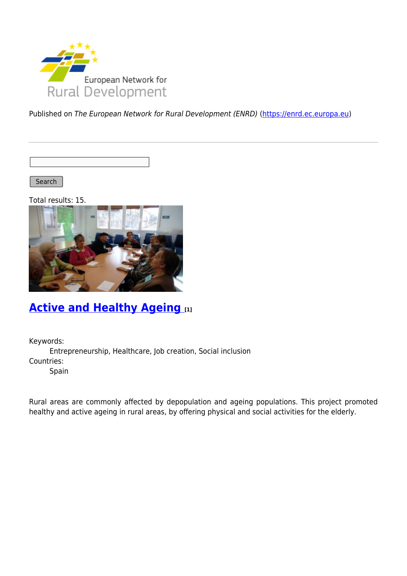

Published on The European Network for Rural Development (ENRD) [\(https://enrd.ec.europa.eu](https://enrd.ec.europa.eu))

Search |

Total results: 15.



### **[Active and Healthy Ageing](https://enrd.ec.europa.eu/projects-practice/active-and-healthy-ageing_en) [1]**

Keywords:

Entrepreneurship, Healthcare, Job creation, Social inclusion Countries:

Spain

Rural areas are commonly affected by depopulation and ageing populations. This project promoted healthy and active ageing in rural areas, by offering physical and social activities for the elderly.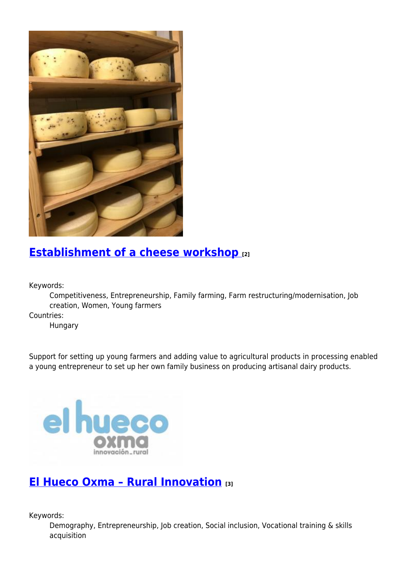

### **[Establishment of a cheese workshop](https://enrd.ec.europa.eu/projects-practice/establishment-cheese-workshop_en) [2]**

Keywords:

Competitiveness, Entrepreneurship, Family farming, Farm restructuring/modernisation, Job creation, Women, Young farmers

Countries:

Hungary

Support for setting up young farmers and adding value to agricultural products in processing enabled a young entrepreneur to set up her own family business on producing artisanal dairy products.



#### **[El Hueco Oxma – Rural Innovation](https://enrd.ec.europa.eu/projects-practice/el-hueco-oxma-rural-innovation_en) [3]**

Keywords:

Demography, Entrepreneurship, Job creation, Social inclusion, Vocational training & skills acquisition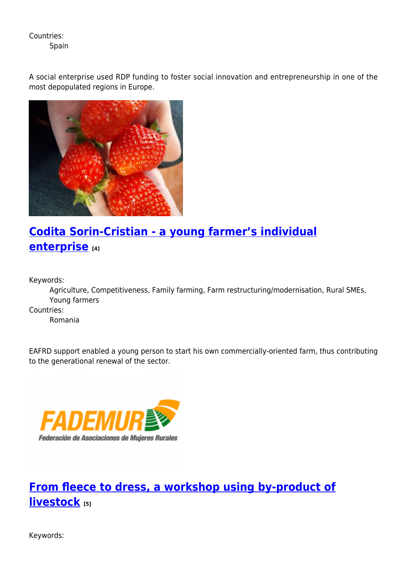Countries:

Spain

A social enterprise used RDP funding to foster social innovation and entrepreneurship in one of the most depopulated regions in Europe.



# **[Codita Sorin-Cristian - a young farmer's individual](https://enrd.ec.europa.eu/projects-practice/codita-sorin-cristian-young-farmers-individual-enterprise_en) [enterprise](https://enrd.ec.europa.eu/projects-practice/codita-sorin-cristian-young-farmers-individual-enterprise_en) [4]**

Keywords:

Agriculture, Competitiveness, Family farming, Farm restructuring/modernisation, Rural SMEs, Young farmers

Countries:

Romania

EAFRD support enabled a young person to start his own commercially-oriented farm, thus contributing to the generational renewal of the sector.



# **[From fleece to dress, a workshop using by-product of](https://enrd.ec.europa.eu/projects-practice/fleece-dress-workshop-using-product-livestock_en) [livestock](https://enrd.ec.europa.eu/projects-practice/fleece-dress-workshop-using-product-livestock_en) [5]**

Keywords: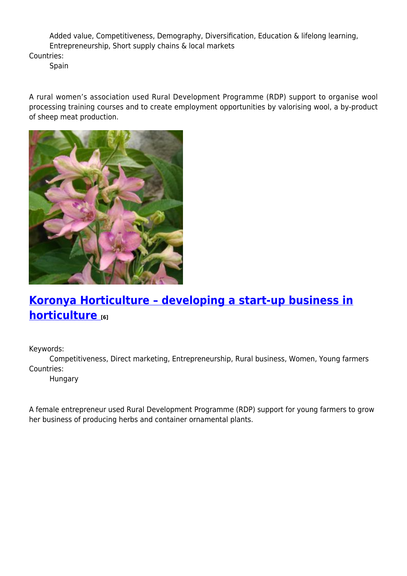Added value, Competitiveness, Demography, Diversification, Education & lifelong learning, Entrepreneurship, Short supply chains & local markets

Countries:

Spain

A rural women's association used Rural Development Programme (RDP) support to organise wool processing training courses and to create employment opportunities by valorising wool, a by-product of sheep meat production.



# **[Koronya Horticulture – developing a start-up business in](https://enrd.ec.europa.eu/projects-practice/koronya-horticulture-developing-start-business-horticulture_en) [horticulture](https://enrd.ec.europa.eu/projects-practice/koronya-horticulture-developing-start-business-horticulture_en) [6]**

Keywords:

Competitiveness, Direct marketing, Entrepreneurship, Rural business, Women, Young farmers Countries:

Hungary

A female entrepreneur used Rural Development Programme (RDP) support for young farmers to grow her business of producing herbs and container ornamental plants.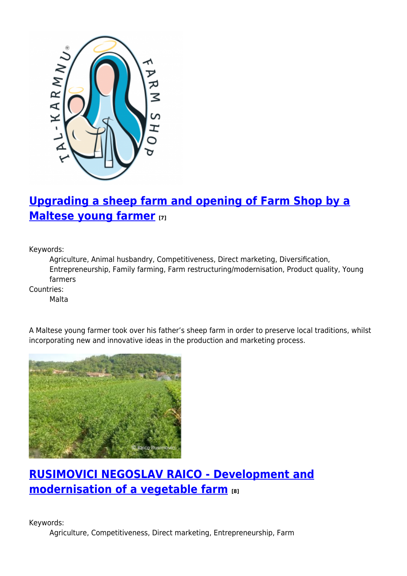

# **[Upgrading a sheep farm and opening of Farm Shop by a](https://enrd.ec.europa.eu/projects-practice/upgrading-sheep-farm-and-opening-farm-shop-maltese-young-farmer_en) [Maltese young farmer](https://enrd.ec.europa.eu/projects-practice/upgrading-sheep-farm-and-opening-farm-shop-maltese-young-farmer_en) [7]**

Keywords:

Agriculture, Animal husbandry, Competitiveness, Direct marketing, Diversification, Entrepreneurship, Family farming, Farm restructuring/modernisation, Product quality, Young farmers

Countries:

Malta



A Maltese young farmer took over his father's sheep farm in order to preserve local traditions, whilst incorporating new and innovative ideas in the production and marketing process.

# **[RUSIMOVICI NEGOSLAV RAICO - Development and](https://enrd.ec.europa.eu/projects-practice/rusimovici-negoslav-raico-development-and-modernisation-vegetable-farm_en) [modernisation of a vegetable farm](https://enrd.ec.europa.eu/projects-practice/rusimovici-negoslav-raico-development-and-modernisation-vegetable-farm_en) [8]**

Keywords: Agriculture, Competitiveness, Direct marketing, Entrepreneurship, Farm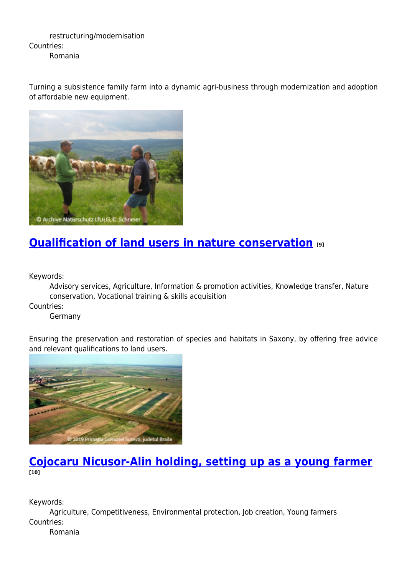restructuring/modernisation Countries: Romania

Turning a subsistence family farm into a dynamic agri-business through modernization and adoption of affordable new equipment.



## **[Qualification of land users in nature conservation](https://enrd.ec.europa.eu/projects-practice/qualification-land-users-nature-conservation_en) [9]**

Keywords:

Advisory services, Agriculture, Information & promotion activities, Knowledge transfer, Nature conservation, Vocational training & skills acquisition

Countries:

Germany

Ensuring the preservation and restoration of species and habitats in Saxony, by offering free advice and relevant qualifications to land users.



#### **[Cojocaru Nicusor-Alin holding, setting up as a young farmer](https://enrd.ec.europa.eu/projects-practice/cojocaru-nicusor-alin-holding-setting-young-farmer_en) [10]**

Keywords:

Agriculture, Competitiveness, Environmental protection, Job creation, Young farmers Countries:

Romania